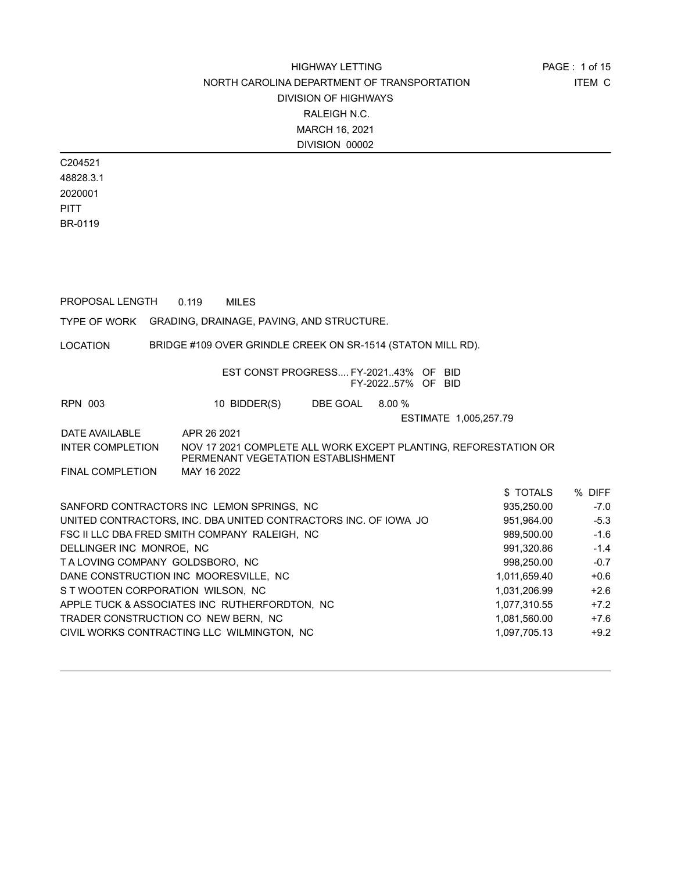C204521 48828.3.1 2020001 **PITT** BR-0119

PROPOSAL LENGTH 0.119 MILES

TYPE OF WORK GRADING, DRAINAGE, PAVING, AND STRUCTURE.

LOCATION BRIDGE #109 OVER GRINDLE CREEK ON SR-1514 (STATON MILL RD).

| EST CONST PROGRESS FY-202143% OF BID<br>FY-202257% OF BID |  |  |
|-----------------------------------------------------------|--|--|
|                                                           |  |  |

RPN 003 10 BIDDER(S) DBE GOAL 8.00 %

ESTIMATE 1,005,257.79

DATE AVAILABLE APR 26 2021 INTER COMPLETION NOV 17 2021 COMPLETE ALL WORK EXCEPT PLANTING, REFORESTATION OR PERMENANT VEGETATION ESTABLISHMENT

| <b>FINAL COMPLETION</b> | MAY 16 2022 |
|-------------------------|-------------|
|                         |             |

|                                                                 | \$TOTALS     | % DIFF |
|-----------------------------------------------------------------|--------------|--------|
| SANFORD CONTRACTORS INC LEMON SPRINGS, NC                       | 935,250.00   | $-7.0$ |
| UNITED CONTRACTORS, INC. DBA UNITED CONTRACTORS INC. OF IOWA JO | 951,964.00   | $-5.3$ |
| FSC II LLC DBA FRED SMITH COMPANY RALEIGH, NC                   | 989,500.00   | $-1.6$ |
| DELLINGER INC MONROE, NC                                        | 991,320.86   | $-1.4$ |
| TALOVING COMPANY GOLDSBORO, NC                                  | 998.250.00   | $-0.7$ |
| DANE CONSTRUCTION INC MOORESVILLE, NC                           | 1.011.659.40 | $+0.6$ |
| S T WOOTEN CORPORATION WILSON, NC                               | 1,031,206.99 | $+2.6$ |
| APPLE TUCK & ASSOCIATES INC RUTHERFORDTON, NC                   | 1,077,310.55 | $+7.2$ |
| TRADER CONSTRUCTION CO NEW BERN, NC                             | 1,081,560.00 | $+7.6$ |
| CIVIL WORKS CONTRACTING LLC WILMINGTON, NC                      | 1,097,705.13 | $+9.2$ |
|                                                                 |              |        |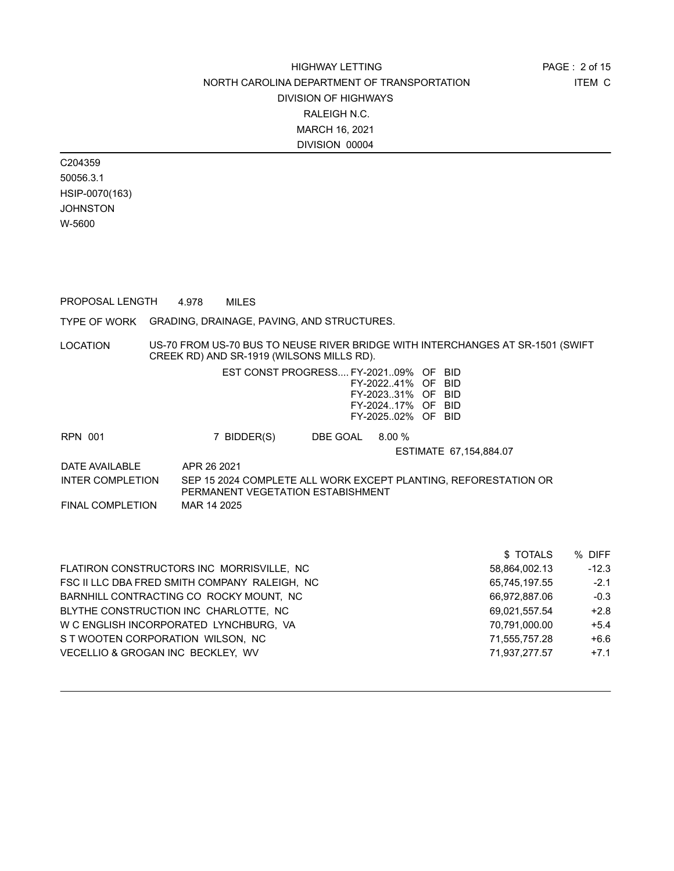C204359 50056.3.1 HSIP-0070(163) **JOHNSTON** W-5600

PROPOSAL LENGTH 4.978 MILES

TYPE OF WORK GRADING, DRAINAGE, PAVING, AND STRUCTURES.

LOCATION US-70 FROM US-70 BUS TO NEUSE RIVER BRIDGE WITH INTERCHANGES AT SR-1501 (SWIFT CREEK RD) AND SR-1919 (WILSONS MILLS RD).

| EST CONST PROGRESS FY-202109% OF BID |  |  |
|--------------------------------------|--|--|
| FY-2022.41% OF BID                   |  |  |
| FY-2023 31% OF BID                   |  |  |
| FY-202417% OF BID                    |  |  |
| FY-202502% OF BID                    |  |  |

RPN 001 7 BIDDER(S) DBE GOAL 8.00 %

ESTIMATE 67,154,884.07

DATE AVAILABLE APR 26 2021 INTER COMPLETION SEP 15 2024 COMPLETE ALL WORK EXCEPT PLANTING, REFORESTATION OR PERMANENT VEGETATION ESTABISHMENT FINAL COMPLETION MAR 14 2025

\$ TOTALS % DIFF FLATIRON CONSTRUCTORS INC MORRISVILLE, NC 58,864,002.13 12.3 FSC II LLC DBA FRED SMITH COMPANY RALEIGH, NC 65,745,197.55 42.1 BARNHILL CONTRACTING CO ROCKY MOUNT, NC 66,972,887.06 6.972,887.06 6.972,887.06 BLYTHE CONSTRUCTION INC CHARLOTTE, NC 69,021,557.54 +2.8 W C ENGLISH INCORPORATED LYNCHBURG, VA +5.4 70,791,000.00 +5.4 S T WOOTEN CORPORATION WILSON, NC  $\begin{array}{ccc} 71,555,757.28 & +6.6 \end{array}$ VECELLIO & GROGAN INC BECKLEY, WV 71,937,277.57 +7.1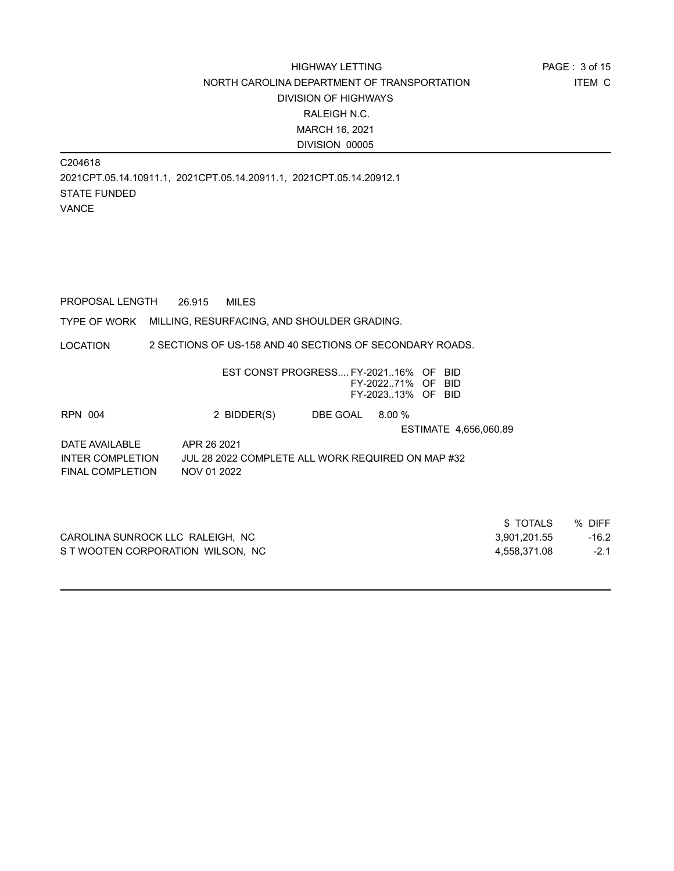C204618 2021CPT.05.14.10911.1, 2021CPT.05.14.20911.1, 2021CPT.05.14.20912.1 STATE FUNDED VANCE

PROPOSAL LENGTH 26.915 MILES

TYPE OF WORK MILLING, RESURFACING, AND SHOULDER GRADING.

LOCATION 2 SECTIONS OF US-158 AND 40 SECTIONS OF SECONDARY ROADS.

|                         |                                                   | EST CONST PROGRESS FY-202116% OF BID | FY-202271% OF BID<br>FY-202313% OF BID |                       |          |        |
|-------------------------|---------------------------------------------------|--------------------------------------|----------------------------------------|-----------------------|----------|--------|
| <b>RPN 004</b>          | 2 BIDDER(S)                                       | DBE GOAL                             | 8.00%                                  |                       |          |        |
|                         |                                                   |                                      |                                        | ESTIMATE 4,656,060.89 |          |        |
| DATE AVAILABLE          | APR 26 2021                                       |                                      |                                        |                       |          |        |
| <b>INTER COMPLETION</b> | JUL 28 2022 COMPLETE ALL WORK REQUIRED ON MAP #32 |                                      |                                        |                       |          |        |
| FINAL COMPLETION        | NOV 01 2022                                       |                                      |                                        |                       |          |        |
|                         |                                                   |                                      |                                        |                       |          |        |
|                         |                                                   |                                      |                                        |                       |          |        |
|                         |                                                   |                                      |                                        |                       | \$TOTALS | % DIFF |

|                                   | <b>UIVILU</b> | 70 DILI |
|-----------------------------------|---------------|---------|
| CAROLINA SUNROCK LLC RALEIGH, NC  | 3.901.201.55  | $-16.2$ |
| S T WOOTEN CORPORATION WILSON. NC | 4.558.371.08  | $-2.1$  |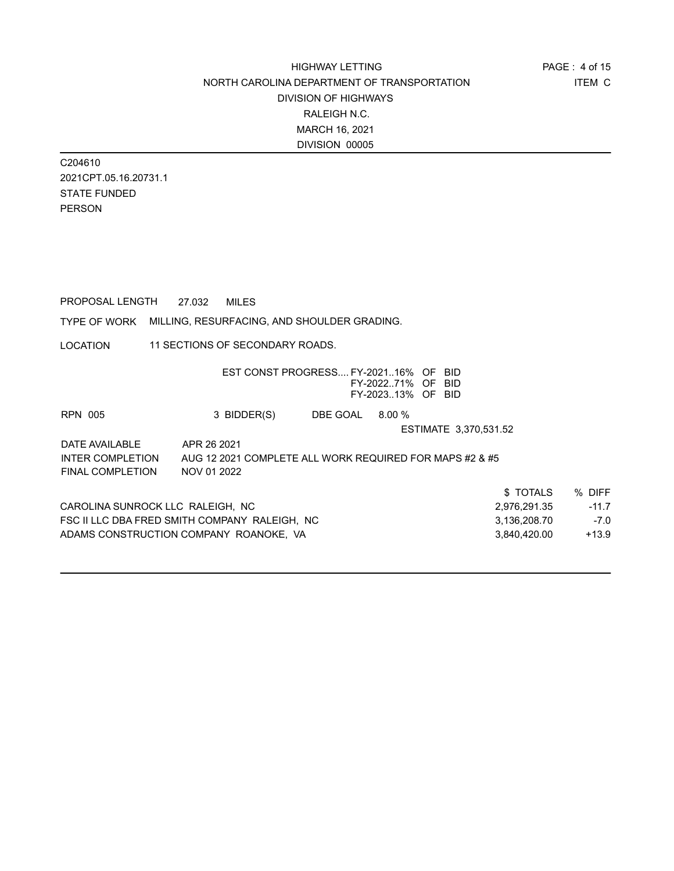C204610 2021CPT.05.16.20731.1 STATE FUNDED PERSON

PROPOSAL LENGTH 27.032 MILES

TYPE OF WORK MILLING, RESURFACING, AND SHOULDER GRADING.

LOCATION 11 SECTIONS OF SECONDARY ROADS.

|                                  |                                                         | EST CONST PROGRESS FY-202116% OF | FY-202271% OF BID<br>FY-202313% OF BID | -BID                  |         |
|----------------------------------|---------------------------------------------------------|----------------------------------|----------------------------------------|-----------------------|---------|
| <b>RPN 005</b>                   | 3 BIDDER(S)                                             | DBE GOAL                         | $8.00\%$                               |                       |         |
|                                  |                                                         |                                  |                                        | ESTIMATE 3,370,531.52 |         |
| DATE AVAILABLE                   | APR 26 2021                                             |                                  |                                        |                       |         |
| INTER COMPLETION                 | AUG 12 2021 COMPLETE ALL WORK REQUIRED FOR MAPS #2 & #5 |                                  |                                        |                       |         |
| <b>FINAL COMPLETION</b>          | NOV 01 2022                                             |                                  |                                        |                       |         |
|                                  |                                                         |                                  |                                        | \$TOTALS              | % DIFF  |
| CAROLINA SUNROCK LLC RALEIGH, NC |                                                         |                                  |                                        | 2,976,291.35          | $-11.7$ |
|                                  | FSC II LLC DBA FRED SMITH COMPANY RALEIGH. NC           |                                  |                                        | 3,136,208.70          | $-7.0$  |
|                                  | ADAMS CONSTRUCTION COMPANY ROANOKE. VA                  |                                  |                                        | 3,840,420.00          | $+13.9$ |
|                                  |                                                         |                                  |                                        |                       |         |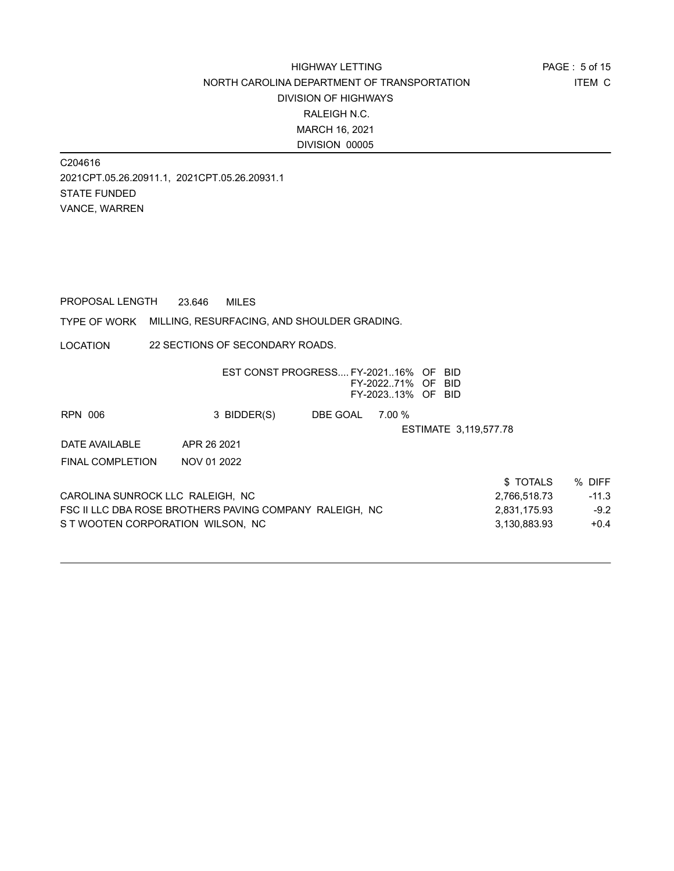C204616 2021CPT.05.26.20911.1, 2021CPT.05.26.20931.1 STATE FUNDED VANCE, WARREN

PROPOSAL LENGTH 23.646 MILES

TYPE OF WORK MILLING, RESURFACING, AND SHOULDER GRADING.

LOCATION 22 SECTIONS OF SECONDARY ROADS.

|                                                         | EST CONST PROGRESS FY-202116% OF |          | FY-202271% OF<br>FY-202313% OF BID |  | -BID<br>- BID         |         |
|---------------------------------------------------------|----------------------------------|----------|------------------------------------|--|-----------------------|---------|
| RPN 006                                                 | 3 BIDDER(S)                      | DBE GOAL | 7.00 %                             |  |                       |         |
|                                                         |                                  |          |                                    |  | ESTIMATE 3.119.577.78 |         |
| DATE AVAILABLE                                          | APR 26 2021                      |          |                                    |  |                       |         |
| <b>FINAL COMPLETION</b>                                 | NOV 01 2022                      |          |                                    |  |                       |         |
|                                                         |                                  |          |                                    |  | \$TOTALS              | % DIFF  |
| CAROLINA SUNROCK LLC RALEIGH, NC                        |                                  |          |                                    |  | 2,766,518.73          | $-11.3$ |
| FSC II LLC DBA ROSE BROTHERS PAVING COMPANY RALEIGH. NC |                                  |          |                                    |  | 2,831,175.93          | $-9.2$  |
| S T WOOTEN CORPORATION WILSON. NC                       |                                  |          |                                    |  | 3.130.883.93          | $+0.4$  |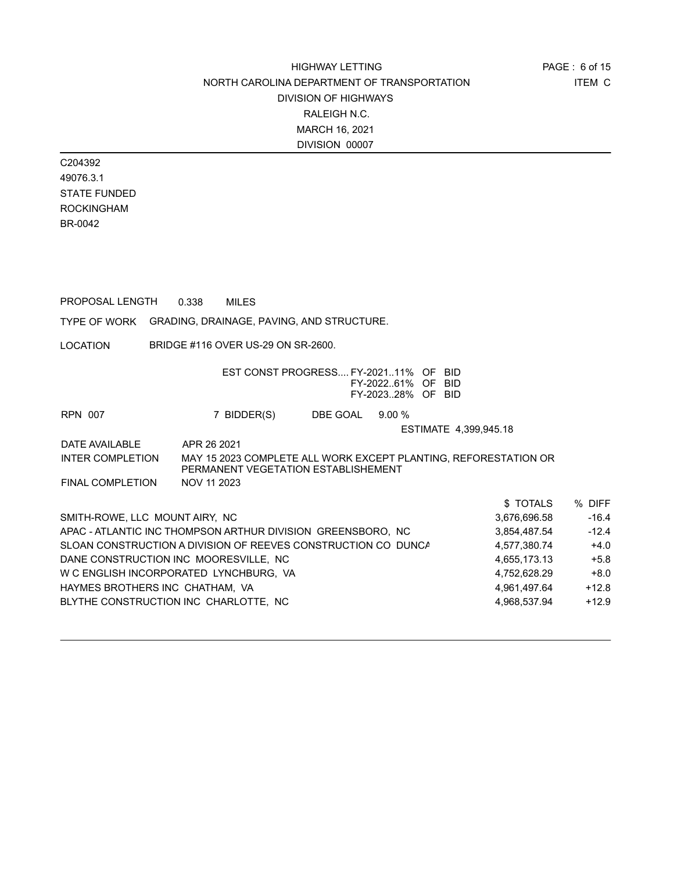ITEM C PAGE : 6 of 15

C204392 49076.3.1 STATE FUNDED ROCKINGHAM BR-0042

PROPOSAL LENGTH 0.338 MILES

TYPE OF WORK GRADING, DRAINAGE, PAVING, AND STRUCTURE.

LOCATION BRIDGE #116 OVER US-29 ON SR-2600.

|                                 | EST CONST PROGRESS FY-202111% OF                                                                       |                 | FY-202261% OF BID | <b>BID</b>            |              |         |
|---------------------------------|--------------------------------------------------------------------------------------------------------|-----------------|-------------------|-----------------------|--------------|---------|
|                                 |                                                                                                        |                 | FY-202328% OF BID |                       |              |         |
| <b>RPN 007</b>                  | 7 BIDDER(S)                                                                                            | DBE GOAL 9.00 % |                   |                       |              |         |
|                                 |                                                                                                        |                 |                   | ESTIMATE 4,399,945.18 |              |         |
| DATE AVAILABLE                  | APR 26 2021                                                                                            |                 |                   |                       |              |         |
| <b>INTER COMPLETION</b>         | MAY 15 2023 COMPLETE ALL WORK EXCEPT PLANTING, REFORESTATION OR<br>PERMANENT VEGETATION ESTABLISHEMENT |                 |                   |                       |              |         |
| <b>FINAL COMPLETION</b>         | NOV 11 2023                                                                                            |                 |                   |                       |              |         |
|                                 |                                                                                                        |                 |                   |                       | \$TOTALS     | % DIFF  |
| SMITH-ROWE, LLC MOUNT AIRY, NC  |                                                                                                        |                 |                   |                       | 3,676,696.58 | $-16.4$ |
|                                 | APAC - ATLANTIC INC THOMPSON ARTHUR DIVISION GREENSBORO, NC                                            |                 |                   |                       | 3,854,487.54 | $-12.4$ |
|                                 | SLOAN CONSTRUCTION A DIVISION OF REEVES CONSTRUCTION CO DUNCA                                          |                 |                   |                       | 4,577,380.74 | $+4.0$  |
|                                 | DANE CONSTRUCTION INC MOORESVILLE, NC                                                                  |                 |                   |                       | 4,655,173.13 | $+5.8$  |
|                                 | W C ENGLISH INCORPORATED LYNCHBURG, VA                                                                 |                 |                   |                       | 4,752,628.29 | $+8.0$  |
| HAYMES BROTHERS INC CHATHAM, VA |                                                                                                        |                 |                   |                       | 4,961,497.64 | $+12.8$ |
|                                 | BLYTHE CONSTRUCTION INC CHARLOTTE, NC                                                                  |                 |                   |                       | 4,968,537.94 | $+12.9$ |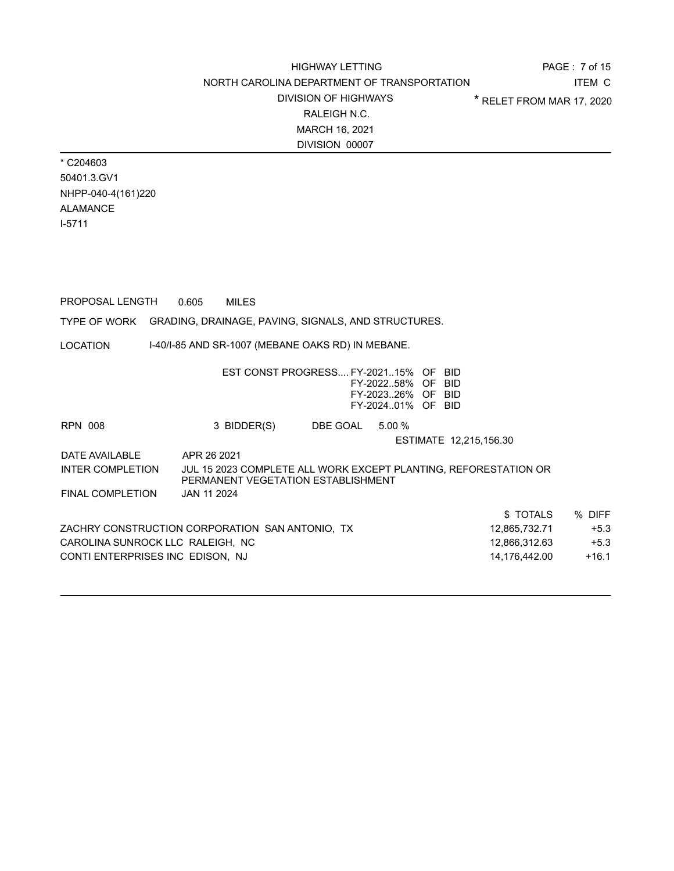ITEM C PAGE : 7 of 15 \* RELET FROM MAR 17, 2020

\* C204603 50401.3.GV1 NHPP-040-4(161)220 ALAMANCE I-5711

| PROPOSAL LENGTH                                                  | 0.605       | <b>MILES</b>                                                                                          |                 |                                                             |                        |               |         |
|------------------------------------------------------------------|-------------|-------------------------------------------------------------------------------------------------------|-----------------|-------------------------------------------------------------|------------------------|---------------|---------|
| TYPE OF WORK GRADING, DRAINAGE, PAVING, SIGNALS, AND STRUCTURES. |             |                                                                                                       |                 |                                                             |                        |               |         |
| LOCATION                                                         |             | 1-40/1-85 AND SR-1007 (MEBANE OAKS RD) IN MEBANE.                                                     |                 |                                                             |                        |               |         |
|                                                                  |             | EST CONST PROGRESS FY-202115% OF BID                                                                  |                 | FY-202258% OF BID<br>FY-202326% OF BID<br>FY-202401% OF BID |                        |               |         |
| RPN 008                                                          |             | 3 BIDDER(S)                                                                                           | DBE GOAL 5.00 % |                                                             |                        |               |         |
|                                                                  |             |                                                                                                       |                 |                                                             | ESTIMATE 12,215,156.30 |               |         |
| DATE AVAILABLE                                                   | APR 26 2021 |                                                                                                       |                 |                                                             |                        |               |         |
| INTER COMPLETION                                                 |             | JUL 15 2023 COMPLETE ALL WORK EXCEPT PLANTING, REFORESTATION OR<br>PERMANENT VEGETATION ESTABLISHMENT |                 |                                                             |                        |               |         |
| FINAL COMPLETION                                                 | JAN 11 2024 |                                                                                                       |                 |                                                             |                        |               |         |
|                                                                  |             |                                                                                                       |                 |                                                             |                        | \$ TOTALS     | % DIFF  |
| ZACHRY CONSTRUCTION CORPORATION SAN ANTONIO, TX                  |             |                                                                                                       |                 |                                                             |                        | 12,865,732.71 | $+5.3$  |
| CAROLINA SUNROCK LLC RALEIGH, NC                                 |             |                                                                                                       |                 |                                                             |                        | 12,866,312.63 | $+5.3$  |
| CONTI ENTERPRISES INC EDISON, NJ                                 |             |                                                                                                       |                 |                                                             |                        | 14,176,442.00 | $+16.1$ |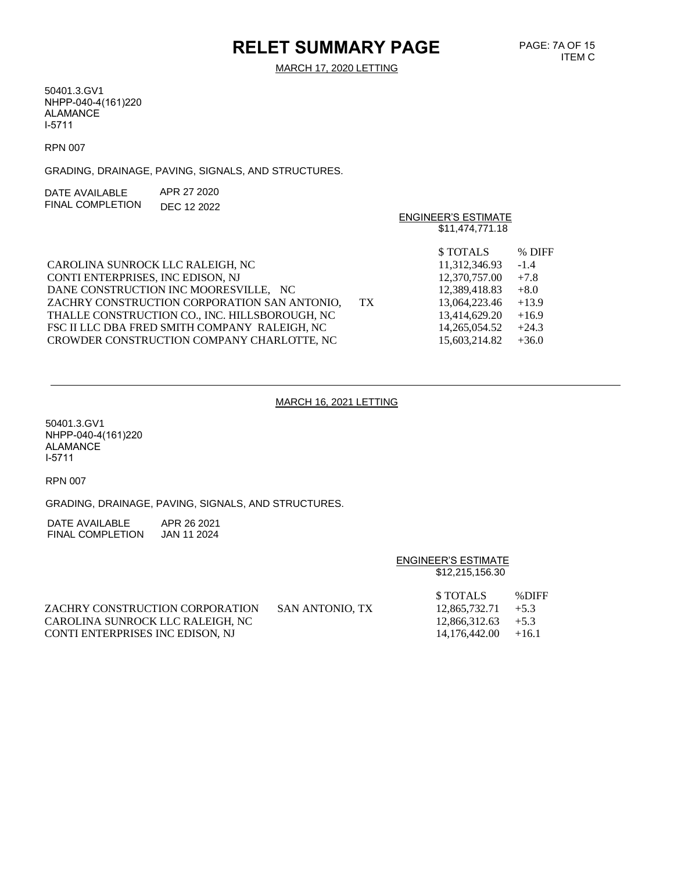# **RELET SUMMARY PAGE**

MARCH 17, 2020 LETTING

50401.3.GV1 NHPP-040-4(161)220 ALAMANCE I-5711

RPN 007

GRADING, DRAINAGE, PAVING, SIGNALS, AND STRUCTURES.

| DATE AVAII ABI F | APR 27 2020 |
|------------------|-------------|
| FINAL COMPLETION | DEC 12 2022 |

|                                                    | <b>ENGINEER'S ESTIMATE</b> |
|----------------------------------------------------|----------------------------|
|                                                    | \$11,474,771.18            |
|                                                    | \$TOTALS<br>% DIFF         |
| CAROLINA SUNROCK LLC RALEIGH, NC                   | 11,312,346.93<br>$-1.4$    |
| CONTI ENTERPRISES, INC EDISON, NJ                  | $+7.8$<br>12,370,757.00    |
| DANE CONSTRUCTION INC MOORESVILLE, NC              | 12,389,418.83<br>$+8.0$    |
| ZACHRY CONSTRUCTION CORPORATION SAN ANTONIO,<br>TX | $+13.9$<br>13,064,223.46   |
| THALLE CONSTRUCTION CO., INC. HILLSBOROUGH, NC     | $+16.9$<br>13.414.629.20   |
| FSC II LLC DBA FRED SMITH COMPANY RALEIGH, NC      | 14,265,054.52<br>$+24.3$   |
| CROWDER CONSTRUCTION COMPANY CHARLOTTE, NC         | 15.603.214.82<br>$+36.0$   |

#### MARCH 16, 2021 LETTING

50401.3.GV1 NHPP-040-4(161)220 ALAMANCE I-5711

RPN 007

GRADING, DRAINAGE, PAVING, SIGNALS, AND STRUCTURES.

DATE AVAILABLE APR 26 2021 FINAL COMPLETION JAN 11 2024

#### ENGINEER'S ESTIMATE \$12,215,156.30

|                                  |                 | <b>STOTALS</b>        | %DIFF |
|----------------------------------|-----------------|-----------------------|-------|
| ZACHRY CONSTRUCTION CORPORATION  | SAN ANTONIO. TX | $12.865.732.71 + 5.3$ |       |
| CAROLINA SUNROCK LLC RALEIGH. NC |                 | $12.866.312.63 + 5.3$ |       |
| CONTI ENTERPRISES INC EDISON. NJ |                 | $14.176.442.00 +16.1$ |       |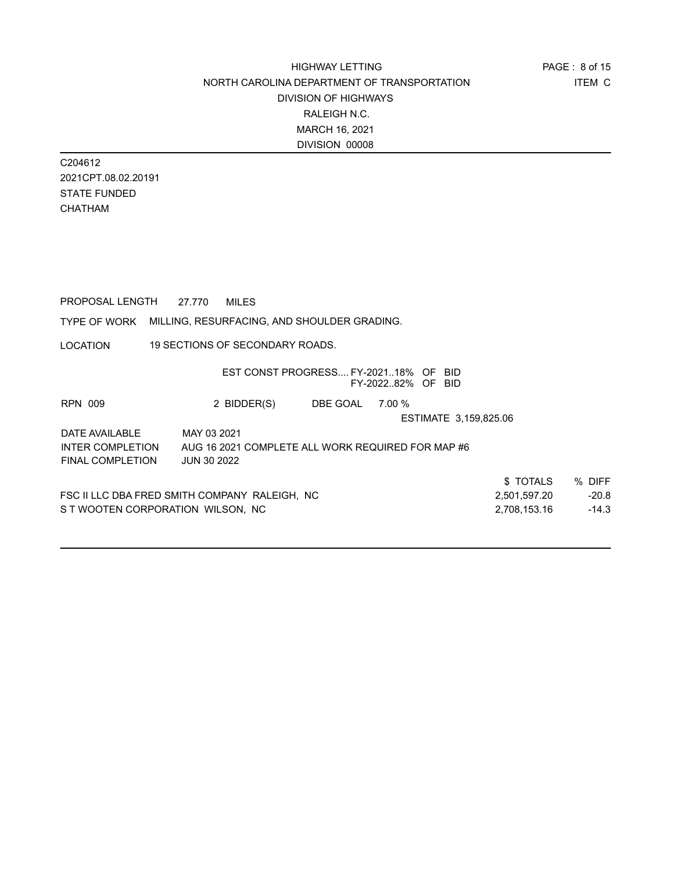C204612 2021CPT.08.02.20191 STATE FUNDED CHATHAM

| PROPOSAL LENGTH                                          | 27.770             | <b>MILES</b>                    |                                                   |                   |                       |              |         |
|----------------------------------------------------------|--------------------|---------------------------------|---------------------------------------------------|-------------------|-----------------------|--------------|---------|
| TYPE OF WORK MILLING, RESURFACING, AND SHOULDER GRADING. |                    |                                 |                                                   |                   |                       |              |         |
| <b>LOCATION</b>                                          |                    | 19 SECTIONS OF SECONDARY ROADS. |                                                   |                   |                       |              |         |
|                                                          |                    |                                 | EST CONST PROGRESS FY-202118% OF BID              | FY-202282% OF BID |                       |              |         |
| RPN 009                                                  |                    | 2 BIDDER(S)                     | DBE GOAL 7.00 %                                   |                   |                       |              |         |
|                                                          |                    |                                 |                                                   |                   | ESTIMATE 3,159,825.06 |              |         |
| DATE AVAILABLE                                           | MAY 03 2021        |                                 |                                                   |                   |                       |              |         |
| INTER COMPLETION                                         |                    |                                 | AUG 16 2021 COMPLETE ALL WORK REQUIRED FOR MAP #6 |                   |                       |              |         |
| FINAL COMPLETION                                         | <b>JUN 30 2022</b> |                                 |                                                   |                   |                       |              |         |
|                                                          |                    |                                 |                                                   |                   |                       | \$TOTALS     | % DIFF  |
| FSC II LLC DBA FRED SMITH COMPANY RALEIGH, NC            |                    |                                 |                                                   |                   |                       | 2,501,597.20 | $-20.8$ |
| S T WOOTEN CORPORATION WILSON, NC                        |                    |                                 |                                                   |                   |                       | 2,708,153.16 | $-14.3$ |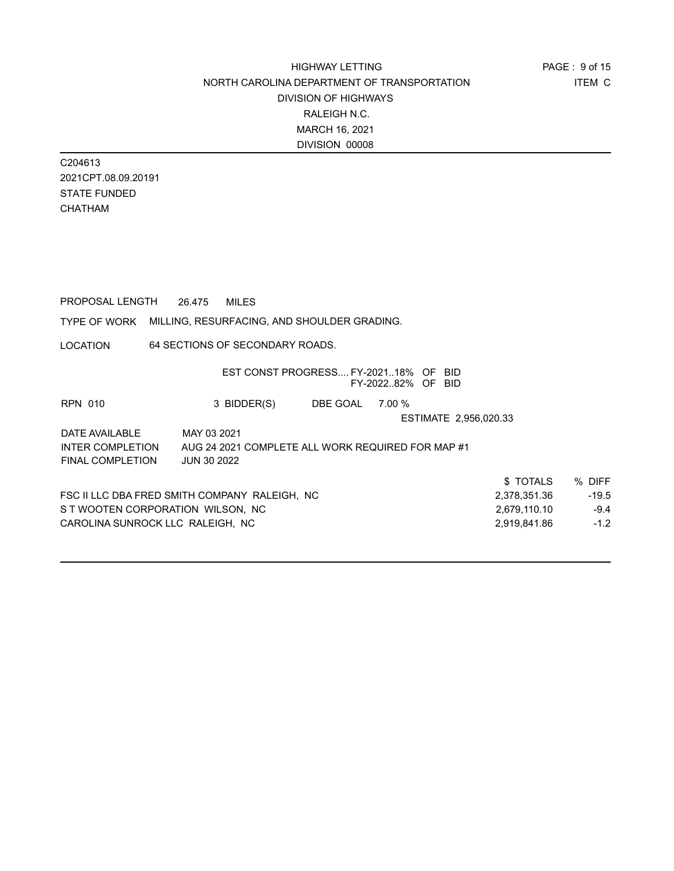C204613 2021CPT.08.09.20191 STATE FUNDED CHATHAM

PROPOSAL LENGTH 26.475 MILES

### TYPE OF WORK MILLING, RESURFACING, AND SHOULDER GRADING.

LOCATION 64 SECTIONS OF SECONDARY ROADS.

|                                   | EST CONST PROGRESS FY-202118% OF BID              |          | FY-202282% OF BID |                       |              |         |
|-----------------------------------|---------------------------------------------------|----------|-------------------|-----------------------|--------------|---------|
|                                   |                                                   |          |                   |                       |              |         |
| <b>RPN 010</b>                    | 3 BIDDER(S)                                       | DBE GOAL | 7.00 %            |                       |              |         |
|                                   |                                                   |          |                   | ESTIMATE 2,956,020.33 |              |         |
| DATE AVAILABLE                    | MAY 03 2021                                       |          |                   |                       |              |         |
| <b>INTER COMPLETION</b>           | AUG 24 2021 COMPLETE ALL WORK REQUIRED FOR MAP #1 |          |                   |                       |              |         |
| <b>FINAL COMPLETION</b>           | <b>JUN 30 2022</b>                                |          |                   |                       |              |         |
|                                   |                                                   |          |                   |                       | \$ TOTALS    | % DIFF  |
|                                   | FSC II LLC DBA FRED SMITH COMPANY RALEIGH, NC     |          |                   |                       | 2.378.351.36 | $-19.5$ |
| S T WOOTEN CORPORATION WILSON, NC |                                                   |          |                   |                       | 2,679,110.10 | $-9.4$  |
| CAROLINA SUNROCK LLC RALEIGH, NC  |                                                   |          |                   |                       | 2,919,841.86 | $-1.2$  |
|                                   |                                                   |          |                   |                       |              |         |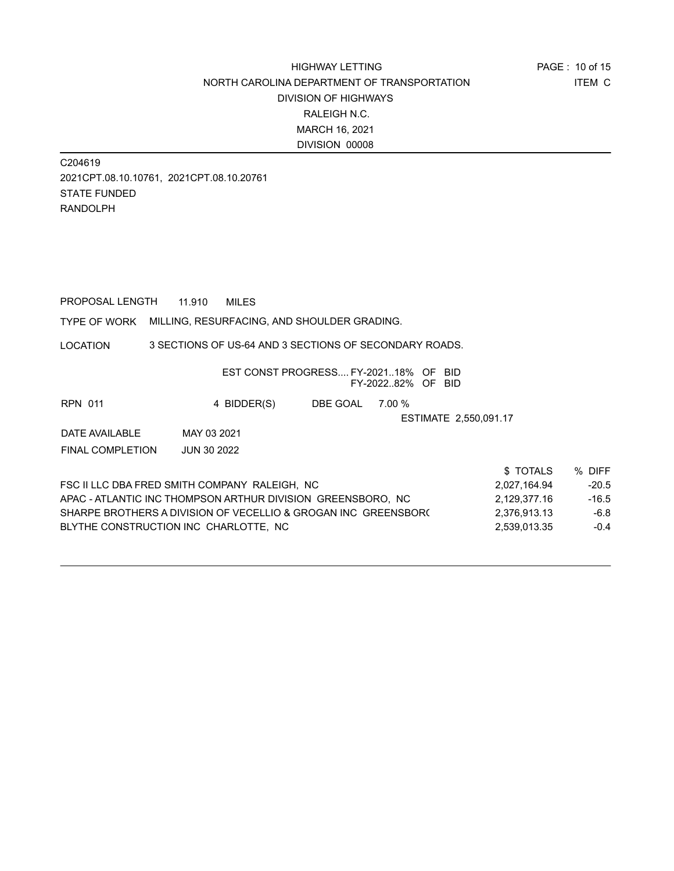C204619 2021CPT.08.10.10761, 2021CPT.08.10.20761 STATE FUNDED RANDOLPH

PROPOSAL LENGTH 11.910 MILES

TYPE OF WORK MILLING, RESURFACING, AND SHOULDER GRADING.

LOCATION 3 SECTIONS OF US-64 AND 3 SECTIONS OF SECONDARY ROADS.

|                  |                                                              | EST CONST PROGRESS FY-202118% OF BID |        |                       |         |
|------------------|--------------------------------------------------------------|--------------------------------------|--------|-----------------------|---------|
|                  |                                                              |                                      |        | FY-202282% OF BID     |         |
| <b>RPN 011</b>   | 4 BIDDER(S)                                                  | DBE GOAL                             | 7.00 % |                       |         |
|                  |                                                              |                                      |        | ESTIMATE 2,550,091.17 |         |
| DATE AVAILABLE   | MAY 03 2021                                                  |                                      |        |                       |         |
| FINAL COMPLETION | <b>JUN 30 2022</b>                                           |                                      |        |                       |         |
|                  |                                                              |                                      |        | \$TOTALS              | % DIFF  |
|                  | FSC II LLC DBA FRED SMITH COMPANY_RALEIGH、NC                 |                                      |        | 2,027,164.94          | $-20.5$ |
|                  | ADAO ATLANTIO INO THOMPOON ADTHLID DIVIOLONI ODEFNICDODO AIO |                                      |        | 0.400.273.40          | $AC$ F  |

| FSC II LLC DBA FRED SMITH COMPANY RALEIGH. NC                  | 2.027.164.94 | -20.5   |
|----------------------------------------------------------------|--------------|---------|
| APAC - ATLANTIC INC THOMPSON ARTHUR DIVISION GREENSBORO. NC    | 2.129.377.16 | $-16.5$ |
| SHARPE BROTHERS A DIVISION OF VECELLIO & GROGAN INC GREENSBOR( | 2.376.913.13 | $-6.8$  |
| BLYTHE CONSTRUCTION INC CHARLOTTE. NC                          | 2.539.013.35 | $-0.4$  |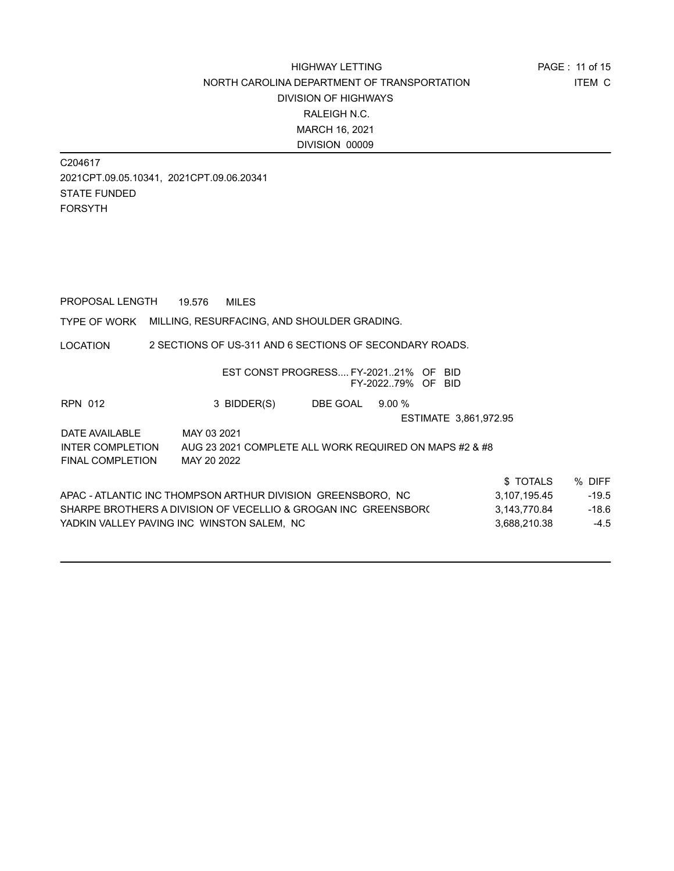C204617 2021CPT.09.05.10341, 2021CPT.09.06.20341 STATE FUNDED FORSYTH

PROPOSAL LENGTH 19.576 MILES

TYPE OF WORK MILLING, RESURFACING, AND SHOULDER GRADING.

LOCATION 2 SECTIONS OF US-311 AND 6 SECTIONS OF SECONDARY ROADS.

|                         |                                                                | EST CONST PROGRESS FY-202121% OF | FY-202279% OF BID | BID                   |         |
|-------------------------|----------------------------------------------------------------|----------------------------------|-------------------|-----------------------|---------|
| <b>RPN 012</b>          | 3 BIDDER(S)                                                    | DBE GOAL                         | 9.00%             |                       |         |
|                         |                                                                |                                  |                   | ESTIMATE 3,861,972.95 |         |
| DATE AVAILABLE          | MAY 03 2021                                                    |                                  |                   |                       |         |
| <b>INTER COMPLETION</b> | AUG 23 2021 COMPLETE ALL WORK REQUIRED ON MAPS #2 & #8         |                                  |                   |                       |         |
| <b>FINAL COMPLETION</b> | MAY 20 2022                                                    |                                  |                   |                       |         |
|                         |                                                                |                                  |                   | \$TOTALS              | % DIFF  |
|                         | APAC - ATLANTIC INC THOMPSON ARTHUR DIVISION  GREENSBORO,  NC  |                                  |                   | 3,107,195.45          | $-19.5$ |
|                         | SHARPE BROTHERS A DIVISION OF VECELLIO & GROGAN INC GREENSBOR( |                                  |                   | 3.143.770.84          | $-18.6$ |
|                         | YADKIN VALLEY PAVING INC WINSTON SALEM. NC                     |                                  |                   | 3,688,210.38          | $-4.5$  |
|                         |                                                                |                                  |                   |                       |         |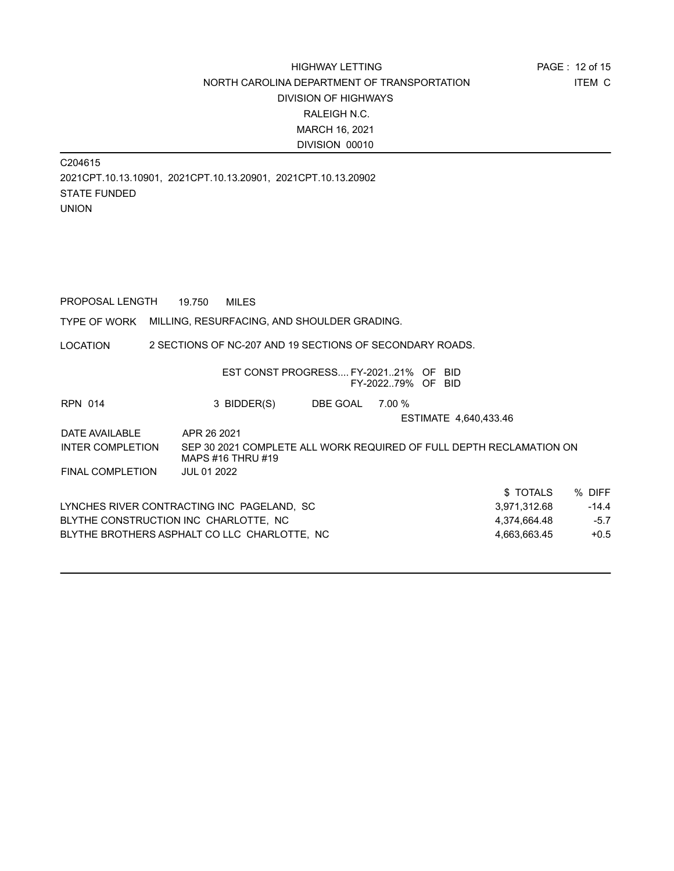C204615 2021CPT.10.13.10901, 2021CPT.10.13.20901, 2021CPT.10.13.20902 STATE FUNDED UNION

PROPOSAL LENGTH 19.750 MILES

TYPE OF WORK MILLING, RESURFACING, AND SHOULDER GRADING.

LOCATION 2 SECTIONS OF NC-207 AND 19 SECTIONS OF SECONDARY ROADS.

|                         |                                                                                          | EST CONST PROGRESS FY-202121% OF | FY-2022.79% OF BID | -BID                  |              |         |
|-------------------------|------------------------------------------------------------------------------------------|----------------------------------|--------------------|-----------------------|--------------|---------|
| <b>RPN 014</b>          | 3 BIDDER(S)                                                                              | DBE GOAL                         | 7.00 %             |                       |              |         |
|                         |                                                                                          |                                  |                    | ESTIMATE 4.640.433.46 |              |         |
| DATE AVAILABLE          | APR 26 2021                                                                              |                                  |                    |                       |              |         |
| <b>INTER COMPLETION</b> | SEP 30 2021 COMPLETE ALL WORK REQUIRED OF FULL DEPTH RECLAMATION ON<br>MAPS #16 THRU #19 |                                  |                    |                       |              |         |
| <b>FINAL COMPLETION</b> | <b>JUL 01 2022</b>                                                                       |                                  |                    |                       |              |         |
|                         |                                                                                          |                                  |                    |                       | \$TOTALS     | % DIFF  |
|                         | LYNCHES RIVER CONTRACTING INC PAGELAND, SC                                               |                                  |                    |                       | 3,971,312.68 | $-14.4$ |
|                         | BLYTHE CONSTRUCTION INC CHARLOTTE, NC                                                    |                                  |                    |                       | 4,374,664.48 | $-5.7$  |
|                         | BLYTHE BROTHERS ASPHALT CO LLC CHARLOTTE. NC                                             |                                  |                    |                       | 4,663,663.45 | $+0.5$  |
|                         |                                                                                          |                                  |                    |                       |              |         |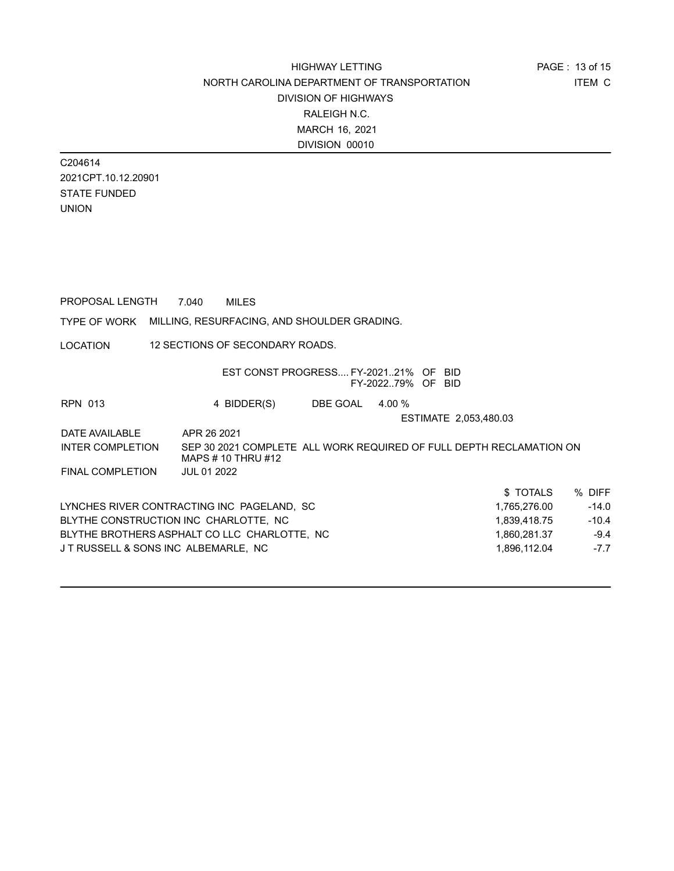C204614 2021CPT.10.12.20901 STATE FUNDED UNION

LOCATION TYPE OF WORK MILLING, RESURFACING, AND SHOULDER GRADING. PROPOSAL LENGTH 7.040 MILES 12 SECTIONS OF SECONDARY ROADS. EST CONST PROGRESS.... FY-2021..21% OF BID FY-2022..79% OF BID RPN 013 4 BIDDER(S) DBE GOAL 4.00 % ESTIMATE 2,053,480.03 DATE AVAILABLE APR 26 2021 \$ TOTALS % DIFF LYNCHES RIVER CONTRACTING INC PAGELAND, SC 1,765,276.00 1,765,276.00 -14.0 BLYTHE CONSTRUCTION INC CHARLOTTE, NC 41,839,418.75 1,839,418.75 BLYTHE BROTHERS ASPHALT CO LLC CHARLOTTE, NC  $1,860,281.37$   $-9.4$ J T RUSSELL & SONS INC ALBEMARLE, NC 1,896,112.04 -7.7 INTER COMPLETION SEP 30 2021 COMPLETE ALL WORK REQUIRED OF FULL DEPTH RECLAMATION ON MAPS # 10 THRU #12 FINAL COMPLETION JUL 01 2022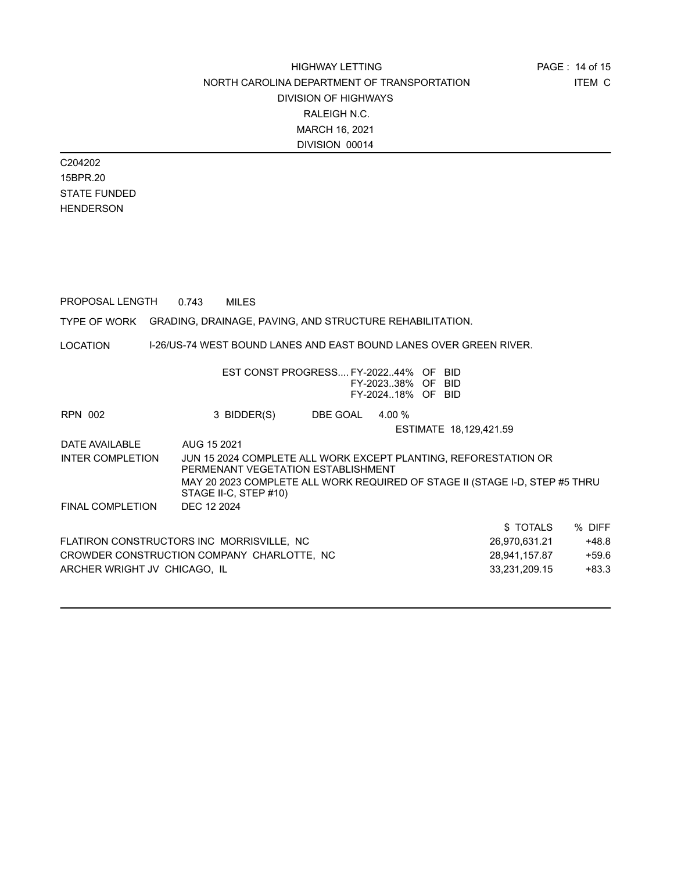C204202 15BPR.20 STATE FUNDED HENDERSON

PROPOSAL LENGTH 0.743 MILES

TYPE OF WORK GRADING, DRAINAGE, PAVING, AND STRUCTURE REHABILITATION.

LOCATION I-26/US-74 WEST BOUND LANES AND EAST BOUND LANES OVER GREEN RIVER.

|                              | EST CONST PROGRESS FY-202244% OF BID                        |                 | FY-202338% OF BID<br>FY-202418% OF BID |                                                                                                                                                |         |
|------------------------------|-------------------------------------------------------------|-----------------|----------------------------------------|------------------------------------------------------------------------------------------------------------------------------------------------|---------|
| RPN 002                      | 3 BIDDER(S)                                                 | DBE GOAL 4.00 % |                                        |                                                                                                                                                |         |
|                              |                                                             |                 |                                        | ESTIMATE 18,129,421.59                                                                                                                         |         |
| DATE AVAILABLE               | AUG 15 2021                                                 |                 |                                        |                                                                                                                                                |         |
| INTER COMPLETION             | PERMENANT VEGETATION ESTABLISHMENT<br>STAGE II-C, STEP #10) |                 |                                        | JUN 15 2024 COMPLETE ALL WORK EXCEPT PLANTING, REFORESTATION OR<br>MAY 20 2023 COMPLETE ALL WORK REQUIRED OF STAGE II (STAGE I-D, STEP #5 THRU |         |
| <b>FINAL COMPLETION</b>      | DEC 12 2024                                                 |                 |                                        |                                                                                                                                                |         |
|                              |                                                             |                 |                                        | \$TOTALS                                                                                                                                       | % DIFF  |
|                              | FLATIRON CONSTRUCTORS INC MORRISVILLE, NC                   |                 |                                        | 26,970,631.21                                                                                                                                  | $+48.8$ |
|                              | CROWDER CONSTRUCTION COMPANY CHARLOTTE, NC                  |                 |                                        | 28,941,157.87                                                                                                                                  | $+59.6$ |
| ARCHER WRIGHT JV CHICAGO, IL |                                                             |                 |                                        | 33,231,209.15                                                                                                                                  | $+83.3$ |
|                              |                                                             |                 |                                        |                                                                                                                                                |         |